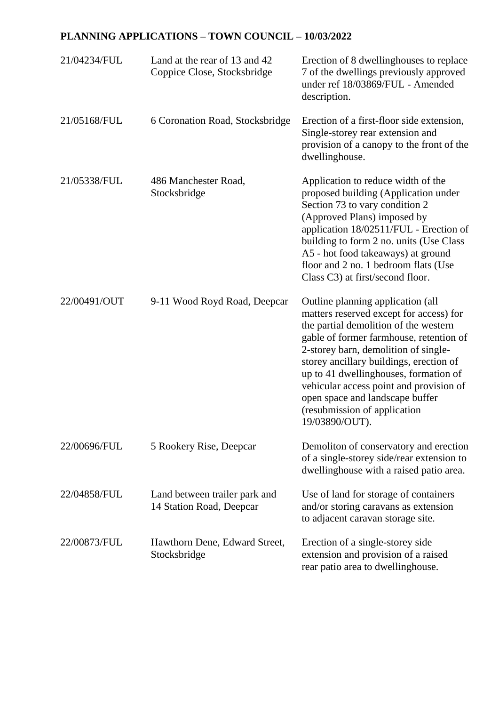## **PLANNING APPLICATIONS – TOWN COUNCIL – 10/03/2022**

| 21/04234/FUL | Land at the rear of 13 and 42<br>Coppice Close, Stocksbridge | Erection of 8 dwellinghouses to replace<br>7 of the dwellings previously approved<br>under ref 18/03869/FUL - Amended<br>description.                                                                                                                                                                                                                                                                                        |
|--------------|--------------------------------------------------------------|------------------------------------------------------------------------------------------------------------------------------------------------------------------------------------------------------------------------------------------------------------------------------------------------------------------------------------------------------------------------------------------------------------------------------|
| 21/05168/FUL | 6 Coronation Road, Stocksbridge                              | Erection of a first-floor side extension,<br>Single-storey rear extension and<br>provision of a canopy to the front of the<br>dwellinghouse.                                                                                                                                                                                                                                                                                 |
| 21/05338/FUL | 486 Manchester Road,<br>Stocksbridge                         | Application to reduce width of the<br>proposed building (Application under<br>Section 73 to vary condition 2<br>(Approved Plans) imposed by<br>application 18/02511/FUL - Erection of<br>building to form 2 no. units (Use Class<br>A5 - hot food takeaways) at ground<br>floor and 2 no. 1 bedroom flats (Use<br>Class C3) at first/second floor.                                                                           |
| 22/00491/OUT | 9-11 Wood Royd Road, Deepcar                                 | Outline planning application (all<br>matters reserved except for access) for<br>the partial demolition of the western<br>gable of former farmhouse, retention of<br>2-storey barn, demolition of single-<br>storey ancillary buildings, erection of<br>up to 41 dwellinghouses, formation of<br>vehicular access point and provision of<br>open space and landscape buffer<br>(resubmission of application<br>19/03890/OUT). |
| 22/00696/FUL | 5 Rookery Rise, Deepcar                                      | Demoliton of conservatory and erection<br>of a single-storey side/rear extension to<br>dwellinghouse with a raised patio area.                                                                                                                                                                                                                                                                                               |
| 22/04858/FUL | Land between trailer park and<br>14 Station Road, Deepcar    | Use of land for storage of containers<br>and/or storing caravans as extension<br>to adjacent caravan storage site.                                                                                                                                                                                                                                                                                                           |
| 22/00873/FUL | Hawthorn Dene, Edward Street,<br>Stocksbridge                | Erection of a single-storey side<br>extension and provision of a raised<br>rear patio area to dwellinghouse.                                                                                                                                                                                                                                                                                                                 |